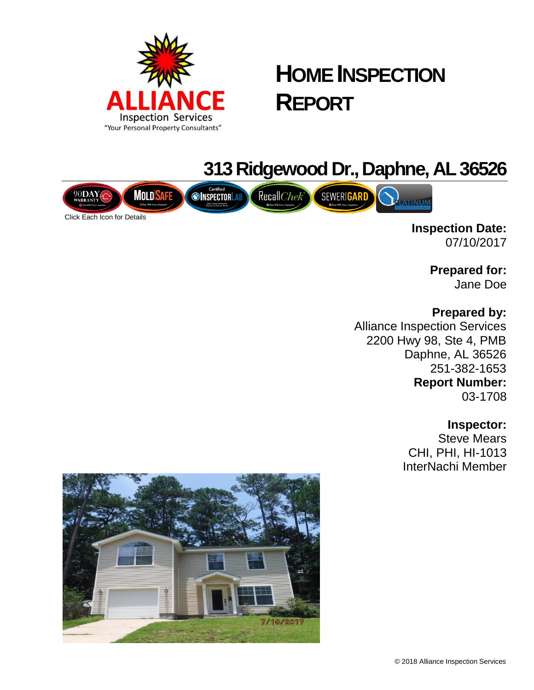

# **HOME INSPECTION REPORT**

## **313 Ridgewood Dr., Daphne, AL 36526**



**Inspection Date:** 07/10/2017

> **Prepared for:** Jane Doe

**Prepared by:**

Alliance Inspection Services 2200 Hwy 98, Ste 4, PMB Daphne, AL 36526 251-382-1653 **Report Number:** 03-1708

## **Inspector:**

Steve Mears CHI, PHI, HI-1013 InterNachi Member

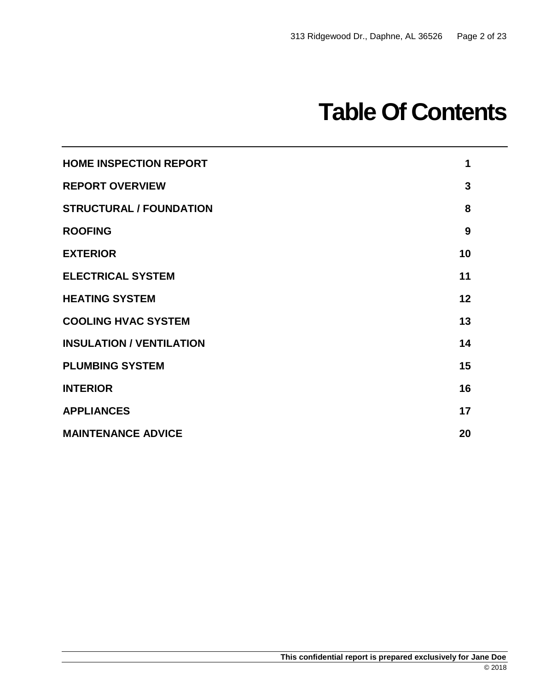# **Table Of Contents**

| <b>HOME INSPECTION REPORT</b>   | 1  |
|---------------------------------|----|
| <b>REPORT OVERVIEW</b>          | 3  |
| <b>STRUCTURAL / FOUNDATION</b>  | 8  |
| <b>ROOFING</b>                  | 9  |
| <b>EXTERIOR</b>                 | 10 |
| <b>ELECTRICAL SYSTEM</b>        | 11 |
| <b>HEATING SYSTEM</b>           | 12 |
| <b>COOLING HVAC SYSTEM</b>      | 13 |
| <b>INSULATION / VENTILATION</b> | 14 |
| <b>PLUMBING SYSTEM</b>          | 15 |
| <b>INTERIOR</b>                 | 16 |
| <b>APPLIANCES</b>               | 17 |
| <b>MAINTENANCE ADVICE</b>       | 20 |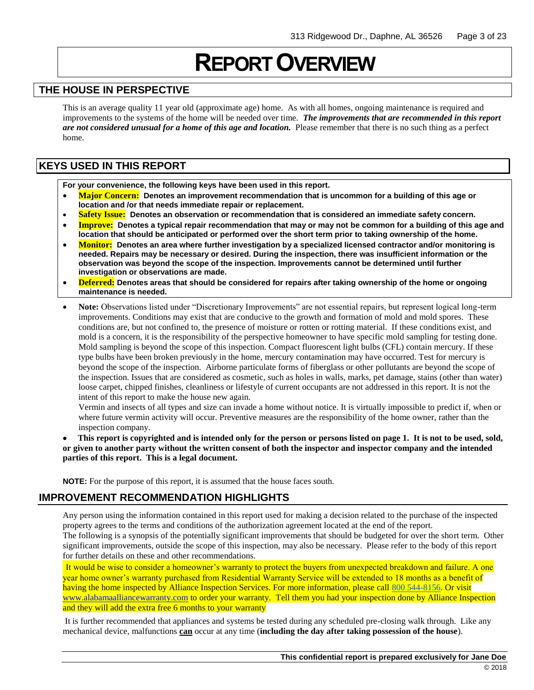## **REPORT OVERVIEW**

### **THE HOUSE IN PERSPECTIVE**

This is an average quality 11 year old (approximate age) home. As with all homes, ongoing maintenance is required and improvements to the systems of the home will be needed over time. *The improvements that are recommended in this report are not considered unusual for a home of this age and location.* Please remember that there is no such thing as a perfect home.

## **KEYS USED IN THIS REPORT**

**For your convenience, the following keys have been used in this report.**

- **Major Concern: Denotes an improvement recommendation that is uncommon for a building of this age or location and /or that needs immediate repair or replacement.**
- **Safety Issue: Denotes an observation or recommendation that is considered an immediate safety concern.**
- **Improve: Denotes a typical repair recommendation that may or may not be common for a building of this age and location that should be anticipated or performed over the short term prior to taking ownership of the home.**
- **Monitor: Denotes an area where further investigation by a specialized licensed contractor and/or monitoring is needed. Repairs may be necessary or desired. During the inspection, there was insufficient information or the observation was beyond the scope of the inspection. Improvements cannot be determined until further investigation or observations are made.**
- **Deferred: Denotes areas that should be considered for repairs after taking ownership of the home or ongoing maintenance is needed.**
- **Note:** Observations listed under "Discretionary Improvements" are not essential repairs, but represent logical long-term improvements. Conditions may exist that are conducive to the growth and formation of mold and mold spores. These conditions are, but not confined to, the presence of moisture or rotten or rotting material. If these conditions exist, and mold is a concern, it is the responsibility of the perspective homeowner to have specific mold sampling for testing done. Mold sampling is beyond the scope of this inspection. Compact fluorescent light bulbs (CFL) contain mercury. If these type bulbs have been broken previously in the home, mercury contamination may have occurred. Test for mercury is beyond the scope of the inspection. Airborne particulate forms of fiberglass or other pollutants are beyond the scope of the inspection. Issues that are considered as cosmetic, such as holes in walls, marks, pet damage, stains (other than water) loose carpet, chipped finishes, cleanliness or lifestyle of current occupants are not addressed in this report. It is not the intent of this report to make the house new again.

Vermin and insects of all types and size can invade a home without notice. It is virtually impossible to predict if, when or where future vermin activity will occur. Preventive measures are the responsibility of the home owner, rather than the inspection company.

• **This report is copyrighted and is intended only for the person or persons listed on page 1. It is not to be used, sold, or given to another party without the written consent of both the inspector and inspector company and the intended parties of this report. This is a legal document.** 

**NOTE:** For the purpose of this report, it is assumed that the house faces south.

## **IMPROVEMENT RECOMMENDATION HIGHLIGHTS**

Any person using the information contained in this report used for making a decision related to the purchase of the inspected property agrees to the terms and conditions of the authorization agreement located at the end of the report.

The following is a synopsis of the potentially significant improvements that should be budgeted for over the short term. Other significant improvements, outside the scope of this inspection, may also be necessary. Please refer to the body of this report for further details on these and other recommendations.

It would be wise to consider a homeowner's warranty to protect the buyers from unexpected breakdown and failure. A one year home owner's warranty purchased from Residential Warranty Service will be extended to 18 months as a benefit of having the home inspected by Alliance Inspection Services. For more information, please call [800 544-8156.](tel:(800)%20544-8156) Or visit [www.alabamaalliancewarranty.com](http://www.alabamaalliancewarranty.com/) to order your warranty. Tell them you had your inspection done by Alliance Inspection and they will add the extra free 6 months to your warranty

It is further recommended that appliances and systems be tested during any scheduled pre-closing walk through. Like any mechanical device, malfunctions **can** occur at any time (**including the day after taking possession of the house**).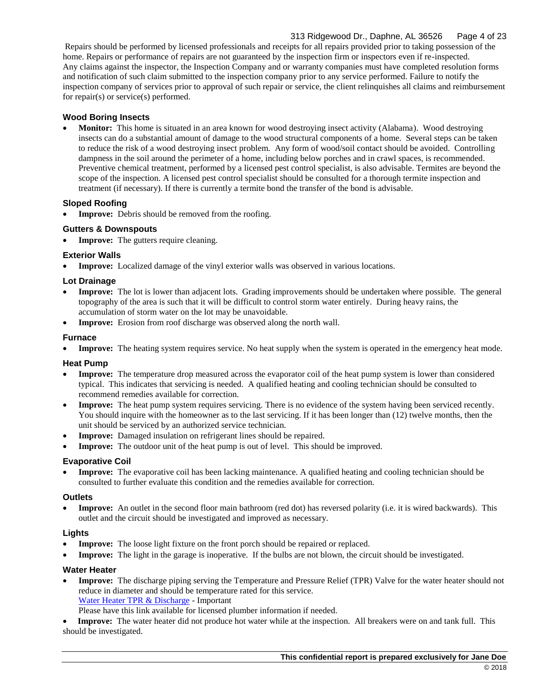## 313 Ridgewood Dr., Daphne, AL 36526 Page 4 of 23

Repairs should be performed by licensed professionals and receipts for all repairs provided prior to taking possession of the home. Repairs or performance of repairs are not guaranteed by the inspection firm or inspectors even if re-inspected. Any claims against the inspector, the Inspection Company and or warranty companies must have completed resolution forms and notification of such claim submitted to the inspection company prior to any service performed. Failure to notify the inspection company of services prior to approval of such repair or service, the client relinquishes all claims and reimbursement for repair(s) or service(s) performed.

#### **Wood Boring Insects**

• **Monitor:** This home is situated in an area known for wood destroying insect activity (Alabama). Wood destroying insects can do a substantial amount of damage to the wood structural components of a home. Several steps can be taken to reduce the risk of a wood destroying insect problem. Any form of wood/soil contact should be avoided. Controlling dampness in the soil around the perimeter of a home, including below porches and in crawl spaces, is recommended. Preventive chemical treatment, performed by a licensed pest control specialist, is also advisable. Termites are beyond the scope of the inspection. A licensed pest control specialist should be consulted for a thorough termite inspection and treatment (if necessary). If there is currently a termite bond the transfer of the bond is advisable.

#### **Sloped Roofing**

**Improve:** Debris should be removed from the roofing.

#### **Gutters & Downspouts**

**Improve:** The gutters require cleaning.

#### **Exterior Walls**

**Improve:** Localized damage of the vinyl exterior walls was observed in various locations.

#### **Lot Drainage**

- **Improve:** The lot is lower than adjacent lots. Grading improvements should be undertaken where possible. The general topography of the area is such that it will be difficult to control storm water entirely. During heavy rains, the accumulation of storm water on the lot may be unavoidable.
- **Improve:** Erosion from roof discharge was observed along the north wall.

#### **Furnace**

• **Improve:** The heating system requires service. No heat supply when the system is operated in the emergency heat mode.

#### **Heat Pump**

- **Improve:** The temperature drop measured across the evaporator coil of the heat pump system is lower than considered typical. This indicates that servicing is needed. A qualified heating and cooling technician should be consulted to recommend remedies available for correction.
- **Improve:** The heat pump system requires servicing. There is no evidence of the system having been serviced recently. You should inquire with the homeowner as to the last servicing. If it has been longer than (12) twelve months, then the unit should be serviced by an authorized service technician.
- **Improve:** Damaged insulation on refrigerant lines should be repaired.
- **Improve:** The outdoor unit of the heat pump is out of level. This should be improved.

#### **Evaporative Coil**

• **Improve:** The evaporative coil has been lacking maintenance. A qualified heating and cooling technician should be consulted to further evaluate this condition and the remedies available for correction.

#### **Outlets**

• **Improve:** An outlet in the second floor main bathroom (red dot) has reversed polarity (i.e. it is wired backwards). This outlet and the circuit should be investigated and improved as necessary.

#### **Lights**

- **Improve:** The loose light fixture on the front porch should be repaired or replaced.
- **Improve:** The light in the garage is inoperative. If the bulbs are not blown, the circuit should be investigated.

#### **Water Heater**

• **Improve:** The discharge piping serving the Temperature and Pressure Relief (TPR) Valve for the water heater should not reduce in diameter and should be temperature rated for this service. [Water Heater TPR & Discharge](https://www.nachi.org/tpr-valves-discharge-piping.htm) - Important

Please have this link available for licensed plumber information if needed.

• **Improve:** The water heater did not produce hot water while at the inspection. All breakers were on and tank full. This should be investigated.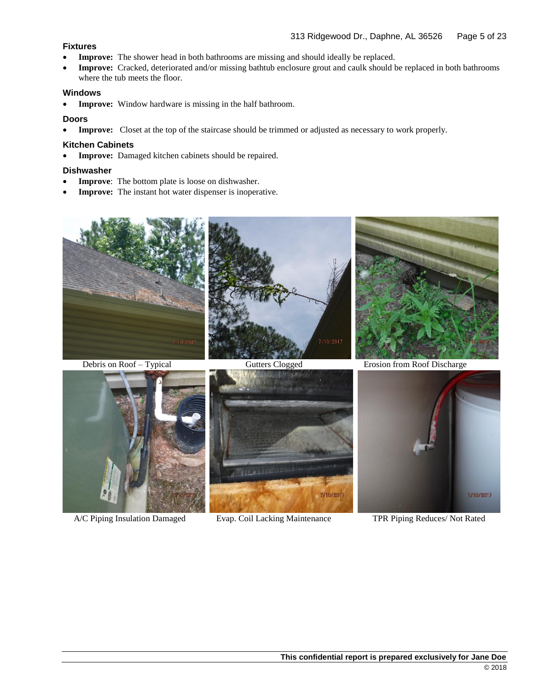#### **Fixtures**

- **Improve:** The shower head in both bathrooms are missing and should ideally be replaced.
- **Improve:** Cracked, deteriorated and/or missing bathtub enclosure grout and caulk should be replaced in both bathrooms where the tub meets the floor.

#### **Windows**

• **Improve:** Window hardware is missing in the half bathroom.

#### **Doors**

• **Improve:** Closet at the top of the staircase should be trimmed or adjusted as necessary to work properly.

#### **Kitchen Cabinets**

• **Improve:** Damaged kitchen cabinets should be repaired.

#### **Dishwasher**

- **Improve**: The bottom plate is loose on dishwasher.
- **Improve:** The instant hot water dispenser is inoperative.







A/C Piping Insulation Damaged Evap. Coil Lacking Maintenance TPR Piping Reduces/ Not Rated



Debris on Roof – Typical Gutters Clogged Erosion from Roof Discharge

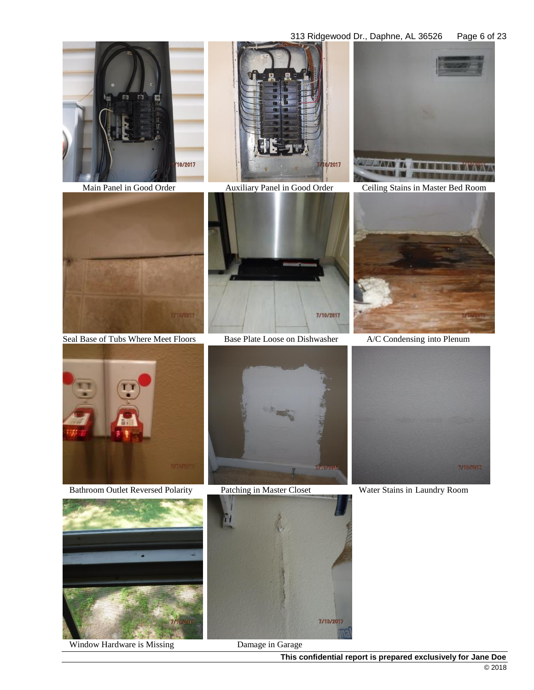#### 313 Ridgewood Dr., Daphne, AL 36526 Page 6 of 23







Main Panel in Good Order Auxiliary Panel in Good Order Ceiling Stains in Master Bed Room



Seal Base of Tubs Where Meet Floors Base Plate Loose on Dishwasher A/C Condensing into Plenum







Bathroom Outlet Reversed Polarity Patching in Master Closet Water Stains in Laundry Room



Window Hardware is Missing Damage in Garage







 $\begin{array}{c} \hline \end{array}$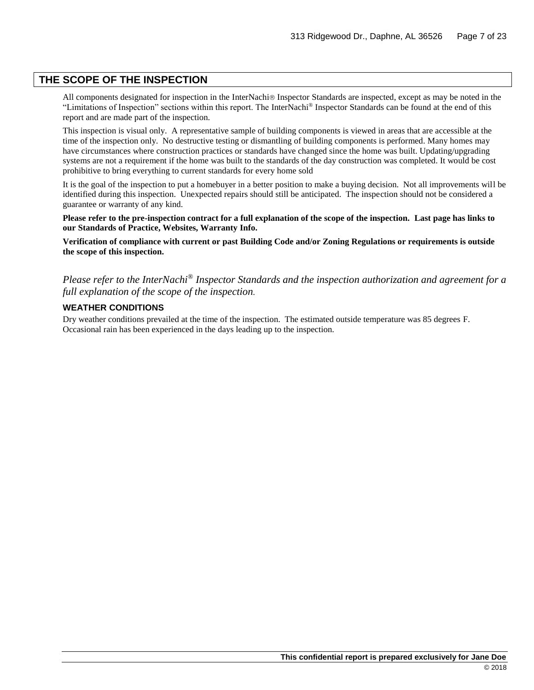## **THE SCOPE OF THE INSPECTION**

All components designated for inspection in the InterNachi<sup>®</sup> Inspector Standards are inspected, except as may be noted in the "Limitations of Inspection" sections within this report. The InterNachi® Inspector Standards can be found at the end of this report and are made part of the inspection.

This inspection is visual only. A representative sample of building components is viewed in areas that are accessible at the time of the inspection only. No destructive testing or dismantling of building components is performed. Many homes may have circumstances where construction practices or standards have changed since the home was built. Updating/upgrading systems are not a requirement if the home was built to the standards of the day construction was completed. It would be cost prohibitive to bring everything to current standards for every home sold

It is the goal of the inspection to put a homebuyer in a better position to make a buying decision. Not all improvements will be identified during this inspection. Unexpected repairs should still be anticipated. The inspection should not be considered a guarantee or warranty of any kind.

**Please refer to the pre-inspection contract for a full explanation of the scope of the inspection. Last page has links to our Standards of Practice, Websites, Warranty Info.**

**Verification of compliance with current or past Building Code and/or Zoning Regulations or requirements is outside the scope of this inspection.**

*Please refer to the InterNachi® Inspector Standards and the inspection authorization and agreement for a full explanation of the scope of the inspection.*

#### **WEATHER CONDITIONS**

Dry weather conditions prevailed at the time of the inspection. The estimated outside temperature was 85 degrees F. Occasional rain has been experienced in the days leading up to the inspection.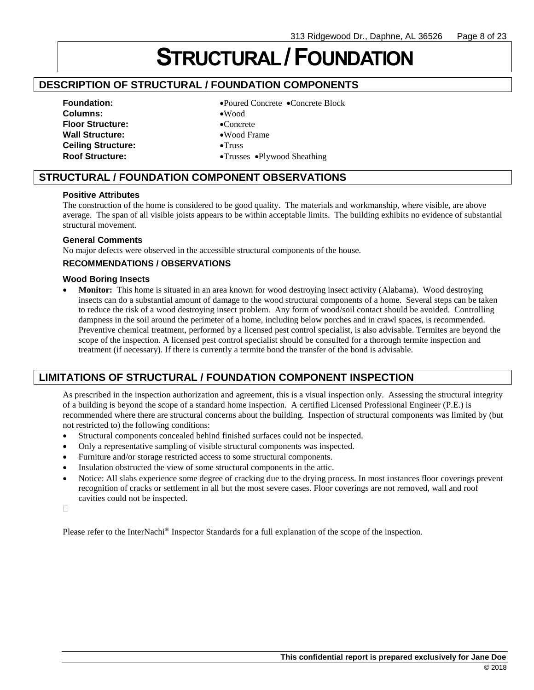# **STRUCTURAL /FOUNDATION**

## **DESCRIPTION OF STRUCTURAL / FOUNDATION COMPONENTS**

## **Columns:** •Wood **Floor Structure:** •Concrete Wall Structure:  $\bullet$ Wood Frame **Ceiling Structure:** •Truss

**Foundation:** •Poured Concrete •Concrete Block

- 
- 
- 
- 
- **Roof Structure:** •Trusses •Plywood Sheathing

## **STRUCTURAL / FOUNDATION COMPONENT OBSERVATIONS**

#### **Positive Attributes**

The construction of the home is considered to be good quality. The materials and workmanship, where visible, are above average. The span of all visible joists appears to be within acceptable limits. The building exhibits no evidence of substantial structural movement.

#### **General Comments**

No major defects were observed in the accessible structural components of the house.

### **RECOMMENDATIONS / OBSERVATIONS**

#### **Wood Boring Insects**

**Monitor:** This home is situated in an area known for wood destroying insect activity (Alabama). Wood destroying insects can do a substantial amount of damage to the wood structural components of a home. Several steps can be taken to reduce the risk of a wood destroying insect problem. Any form of wood/soil contact should be avoided. Controlling dampness in the soil around the perimeter of a home, including below porches and in crawl spaces, is recommended. Preventive chemical treatment, performed by a licensed pest control specialist, is also advisable. Termites are beyond the scope of the inspection. A licensed pest control specialist should be consulted for a thorough termite inspection and treatment (if necessary). If there is currently a termite bond the transfer of the bond is advisable.

## **LIMITATIONS OF STRUCTURAL / FOUNDATION COMPONENT INSPECTION**

As prescribed in the inspection authorization and agreement, this is a visual inspection only. Assessing the structural integrity of a building is beyond the scope of a standard home inspection. A certified Licensed Professional Engineer (P.E.) is recommended where there are structural concerns about the building. Inspection of structural components was limited by (but not restricted to) the following conditions:

- Structural components concealed behind finished surfaces could not be inspected.
- Only a representative sampling of visible structural components was inspected.
- Furniture and/or storage restricted access to some structural components.
- Insulation obstructed the view of some structural components in the attic.
- Notice: All slabs experience some degree of cracking due to the drying process. In most instances floor coverings prevent recognition of cracks or settlement in all but the most severe cases. Floor coverings are not removed, wall and roof cavities could not be inspected.

 $\Box$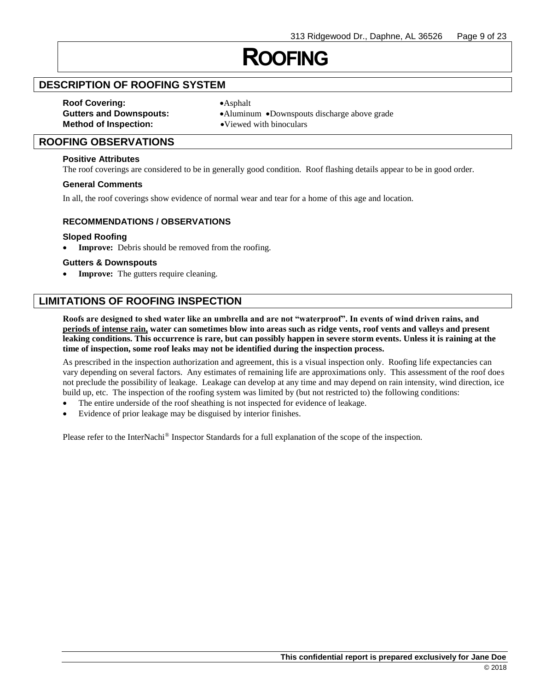## **ROOFING**

## **DESCRIPTION OF ROOFING SYSTEM**

**Roof Covering:** •Asphalt **Method of Inspection:** •Viewed with binoculars

**Gutters and Downspouts:** •Aluminum •Downspouts discharge above grade

## **ROOFING OBSERVATIONS**

#### **Positive Attributes**

The roof coverings are considered to be in generally good condition. Roof flashing details appear to be in good order.

#### **General Comments**

In all, the roof coverings show evidence of normal wear and tear for a home of this age and location.

#### **RECOMMENDATIONS / OBSERVATIONS**

#### **Sloped Roofing**

Improve: Debris should be removed from the roofing.

#### **Gutters & Downspouts**

**Improve:** The gutters require cleaning.

## **LIMITATIONS OF ROOFING INSPECTION**

**Roofs are designed to shed water like an umbrella and are not "waterproof". In events of wind driven rains, and periods of intense rain, water can sometimes blow into areas such as ridge vents, roof vents and valleys and present leaking conditions. This occurrence is rare, but can possibly happen in severe storm events. Unless it is raining at the time of inspection, some roof leaks may not be identified during the inspection process.**

As prescribed in the inspection authorization and agreement, this is a visual inspection only. Roofing life expectancies can vary depending on several factors. Any estimates of remaining life are approximations only. This assessment of the roof does not preclude the possibility of leakage. Leakage can develop at any time and may depend on rain intensity, wind direction, ice build up, etc. The inspection of the roofing system was limited by (but not restricted to) the following conditions:

- The entire underside of the roof sheathing is not inspected for evidence of leakage.
- Evidence of prior leakage may be disguised by interior finishes.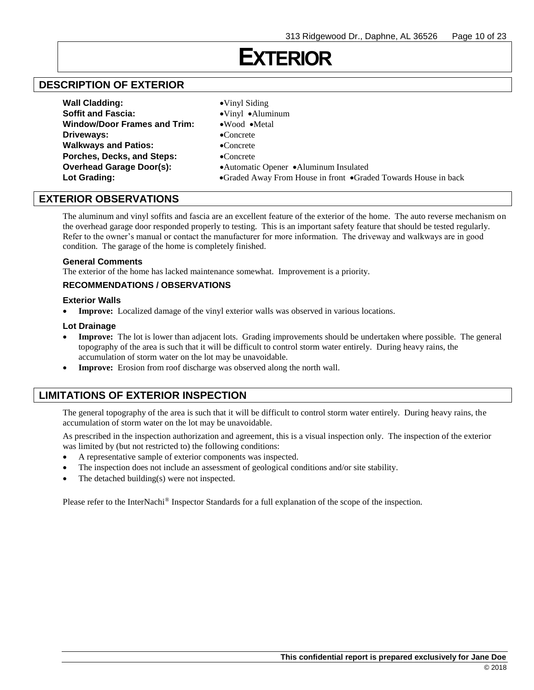## **EXTERIOR**

## **DESCRIPTION OF EXTERIOR**

| <b>Soffit and Fascia:</b><br>$\bullet$ Vinyl $\bullet$ Aluminum                | <b>Wall Cladding:</b>               | $\bullet$ Vinyl Siding |
|--------------------------------------------------------------------------------|-------------------------------------|------------------------|
|                                                                                |                                     |                        |
|                                                                                | <b>Window/Door Frames and Trim:</b> | •Wood •Metal           |
| Driveways:<br>$\bullet$ Concrete                                               |                                     |                        |
| <b>Walkways and Patios:</b><br>$\bullet$ Concrete                              |                                     |                        |
| Porches, Decks, and Steps:<br>$\bullet$ Concrete                               |                                     |                        |
| <b>Overhead Garage Door(s):</b><br>• Automatic Opener • Aluminum Insulated     |                                     |                        |
| Lot Grading:<br>•Graded Away From House in front •Graded Towards House in back |                                     |                        |

## **EXTERIOR OBSERVATIONS**

The aluminum and vinyl soffits and fascia are an excellent feature of the exterior of the home. The auto reverse mechanism on the overhead garage door responded properly to testing. This is an important safety feature that should be tested regularly. Refer to the owner's manual or contact the manufacturer for more information. The driveway and walkways are in good condition. The garage of the home is completely finished.

#### **General Comments**

The exterior of the home has lacked maintenance somewhat. Improvement is a priority.

#### **RECOMMENDATIONS / OBSERVATIONS**

#### **Exterior Walls**

• **Improve:** Localized damage of the vinyl exterior walls was observed in various locations.

#### **Lot Drainage**

- **Improve:** The lot is lower than adjacent lots. Grading improvements should be undertaken where possible. The general topography of the area is such that it will be difficult to control storm water entirely. During heavy rains, the accumulation of storm water on the lot may be unavoidable.
- **Improve:** Erosion from roof discharge was observed along the north wall.

## **LIMITATIONS OF EXTERIOR INSPECTION**

The general topography of the area is such that it will be difficult to control storm water entirely. During heavy rains, the accumulation of storm water on the lot may be unavoidable.

As prescribed in the inspection authorization and agreement, this is a visual inspection only. The inspection of the exterior was limited by (but not restricted to) the following conditions:

- A representative sample of exterior components was inspected.
- The inspection does not include an assessment of geological conditions and/or site stability.
- The detached building(s) were not inspected.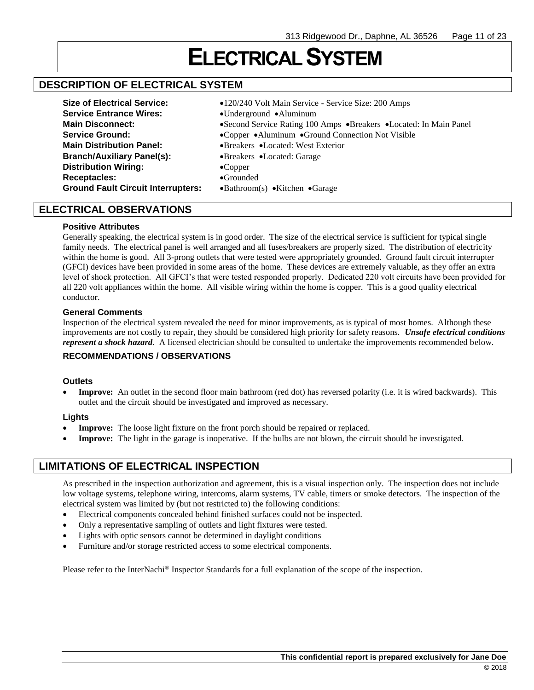## **ELECTRICAL SYSTEM**

## **DESCRIPTION OF ELECTRICAL SYSTEM**

| <b>Size of Electrical Service:</b>        | •120/240 Volt Main Service - Service Size: 200 Amps               |
|-------------------------------------------|-------------------------------------------------------------------|
| <b>Service Entrance Wires:</b>            | •Underground •Aluminum                                            |
| <b>Main Disconnect:</b>                   | •Second Service Rating 100 Amps •Breakers •Located: In Main Panel |
| <b>Service Ground:</b>                    | •Copper •Aluminum •Ground Connection Not Visible                  |
| <b>Main Distribution Panel:</b>           | •Breakers •Located: West Exterior                                 |
| <b>Branch/Auxiliary Panel(s):</b>         | •Breakers •Located: Garage                                        |
| <b>Distribution Wiring:</b>               | $\bullet$ Copper                                                  |
| <b>Receptacles:</b>                       | $\bullet$ Grounded                                                |
| <b>Ground Fault Circuit Interrupters:</b> | $\bullet$ Bathroom(s) $\bullet$ Kitchen $\bullet$ Garage          |

## **ELECTRICAL OBSERVATIONS**

#### **Positive Attributes**

Generally speaking, the electrical system is in good order. The size of the electrical service is sufficient for typical single family needs. The electrical panel is well arranged and all fuses/breakers are properly sized. The distribution of electricity within the home is good. All 3-prong outlets that were tested were appropriately grounded. Ground fault circuit interrupter (GFCI) devices have been provided in some areas of the home. These devices are extremely valuable, as they offer an extra level of shock protection. All GFCI's that were tested responded properly. Dedicated 220 volt circuits have been provided for all 220 volt appliances within the home. All visible wiring within the home is copper. This is a good quality electrical conductor.

#### **General Comments**

Inspection of the electrical system revealed the need for minor improvements, as is typical of most homes. Although these improvements are not costly to repair, they should be considered high priority for safety reasons. *Unsafe electrical conditions represent a shock hazard*. A licensed electrician should be consulted to undertake the improvements recommended below.

#### **RECOMMENDATIONS / OBSERVATIONS**

#### **Outlets**

• **Improve:** An outlet in the second floor main bathroom (red dot) has reversed polarity (i.e. it is wired backwards). This outlet and the circuit should be investigated and improved as necessary.

#### **Lights**

- **Improve:** The loose light fixture on the front porch should be repaired or replaced.
- **Improve:** The light in the garage is inoperative. If the bulbs are not blown, the circuit should be investigated.

## **LIMITATIONS OF ELECTRICAL INSPECTION**

As prescribed in the inspection authorization and agreement, this is a visual inspection only. The inspection does not include low voltage systems, telephone wiring, intercoms, alarm systems, TV cable, timers or smoke detectors. The inspection of the electrical system was limited by (but not restricted to) the following conditions:

- Electrical components concealed behind finished surfaces could not be inspected.
- Only a representative sampling of outlets and light fixtures were tested.
- Lights with optic sensors cannot be determined in daylight conditions
- Furniture and/or storage restricted access to some electrical components.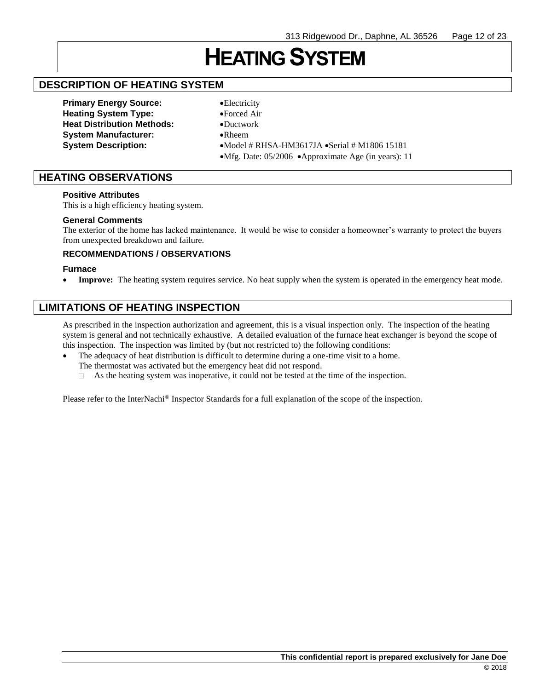## **HEATING SYSTEM**

## **DESCRIPTION OF HEATING SYSTEM**

**Primary Energy Source:** •Electricity **Heating System Type:** •Forced Air **Heat Distribution Methods:** •Ductwork **System Manufacturer:** •Rheem

**System Description:** •Model # RHSA-HM3617JA •Serial # M1806 15181 •Mfg. Date: 05/2006 •Approximate Age (in years): 11

## **HEATING OBSERVATIONS**

#### **Positive Attributes**

This is a high efficiency heating system.

#### **General Comments**

The exterior of the home has lacked maintenance. It would be wise to consider a homeowner's warranty to protect the buyers from unexpected breakdown and failure.

#### **RECOMMENDATIONS / OBSERVATIONS**

#### **Furnace**

**Improve:** The heating system requires service. No heat supply when the system is operated in the emergency heat mode.

## **LIMITATIONS OF HEATING INSPECTION**

As prescribed in the inspection authorization and agreement, this is a visual inspection only. The inspection of the heating system is general and not technically exhaustive. A detailed evaluation of the furnace heat exchanger is beyond the scope of this inspection. The inspection was limited by (but not restricted to) the following conditions:

- The adequacy of heat distribution is difficult to determine during a one-time visit to a home.
	- The thermostat was activated but the emergency heat did not respond.
	- As the heating system was inoperative, it could not be tested at the time of the inspection.  $\Box$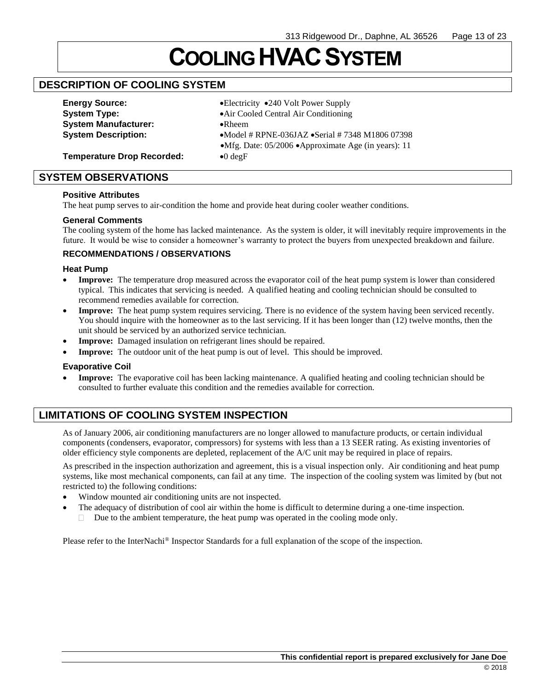# **COOLINGHVACSYSTEM**

## **DESCRIPTION OF COOLING SYSTEM**

**Energy Source:** •**Electricity** •240 Volt Power Supply **System Manufacturer:** •Rheem

**System Type:** •Air Cooled Central Air Conditioning **System Description:** •Model # RPNE-036JAZ •Serial # 7348 M1806 07398 •Mfg. Date: 05/2006 •Approximate Age (in years): 11

**Temperature Drop Recorded:** •0 degF

#### **SYSTEM OBSERVATIONS**

#### **Positive Attributes**

The heat pump serves to air-condition the home and provide heat during cooler weather conditions.

#### **General Comments**

The cooling system of the home has lacked maintenance. As the system is older, it will inevitably require improvements in the future. It would be wise to consider a homeowner's warranty to protect the buyers from unexpected breakdown and failure.

#### **RECOMMENDATIONS / OBSERVATIONS**

#### **Heat Pump**

- **Improve:** The temperature drop measured across the evaporator coil of the heat pump system is lower than considered typical. This indicates that servicing is needed. A qualified heating and cooling technician should be consulted to recommend remedies available for correction.
- Improve: The heat pump system requires servicing. There is no evidence of the system having been serviced recently. You should inquire with the homeowner as to the last servicing. If it has been longer than (12) twelve months, then the unit should be serviced by an authorized service technician.
- **Improve:** Damaged insulation on refrigerant lines should be repaired.
- **Improve:** The outdoor unit of the heat pump is out of level. This should be improved.

#### **Evaporative Coil**

• **Improve:** The evaporative coil has been lacking maintenance. A qualified heating and cooling technician should be consulted to further evaluate this condition and the remedies available for correction.

## **LIMITATIONS OF COOLING SYSTEM INSPECTION**

As of January 2006, air conditioning manufacturers are no longer allowed to manufacture products, or certain individual components (condensers, evaporator, compressors) for systems with less than a 13 SEER rating. As existing inventories of older efficiency style components are depleted, replacement of the A/C unit may be required in place of repairs.

As prescribed in the inspection authorization and agreement, this is a visual inspection only. Air conditioning and heat pump systems, like most mechanical components, can fail at any time. The inspection of the cooling system was limited by (but not restricted to) the following conditions:

- Window mounted air conditioning units are not inspected.
- The adequacy of distribution of cool air within the home is difficult to determine during a one-time inspection.
	- Due to the ambient temperature, the heat pump was operated in the cooling mode only.  $\Box$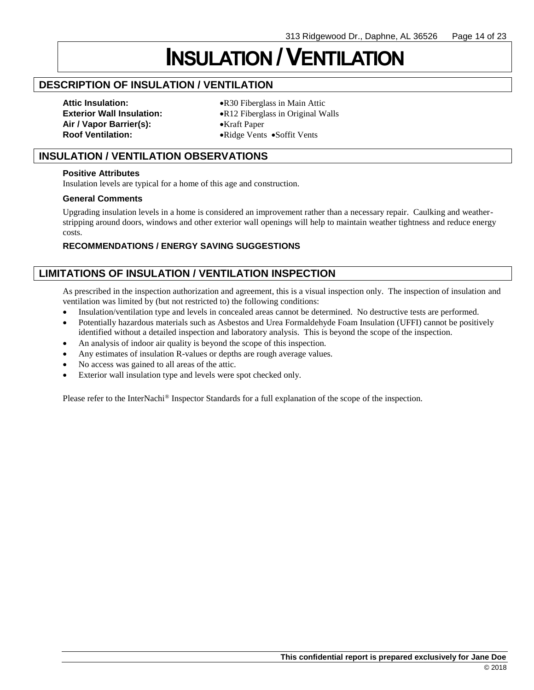# **INSULATION /VENTILATION**

## **DESCRIPTION OF INSULATION / VENTILATION**

**Air / Vapor Barrier(s):** •Kraft Paper **Roof Ventilation:** •Ridge Vents •Soffit Vents

**Attic Insulation:** •R30 Fiberglass in Main Attic **Exterior Wall Insulation:** •R12 Fiberglass in Original Walls

## **INSULATION / VENTILATION OBSERVATIONS**

#### **Positive Attributes**

Insulation levels are typical for a home of this age and construction.

#### **General Comments**

Upgrading insulation levels in a home is considered an improvement rather than a necessary repair. Caulking and weatherstripping around doors, windows and other exterior wall openings will help to maintain weather tightness and reduce energy costs.

### **RECOMMENDATIONS / ENERGY SAVING SUGGESTIONS**

## **LIMITATIONS OF INSULATION / VENTILATION INSPECTION**

As prescribed in the inspection authorization and agreement, this is a visual inspection only. The inspection of insulation and ventilation was limited by (but not restricted to) the following conditions:

- Insulation/ventilation type and levels in concealed areas cannot be determined. No destructive tests are performed.
- Potentially hazardous materials such as Asbestos and Urea Formaldehyde Foam Insulation (UFFI) cannot be positively identified without a detailed inspection and laboratory analysis. This is beyond the scope of the inspection.
- An analysis of indoor air quality is beyond the scope of this inspection.
- Any estimates of insulation R-values or depths are rough average values.
- No access was gained to all areas of the attic.
- Exterior wall insulation type and levels were spot checked only.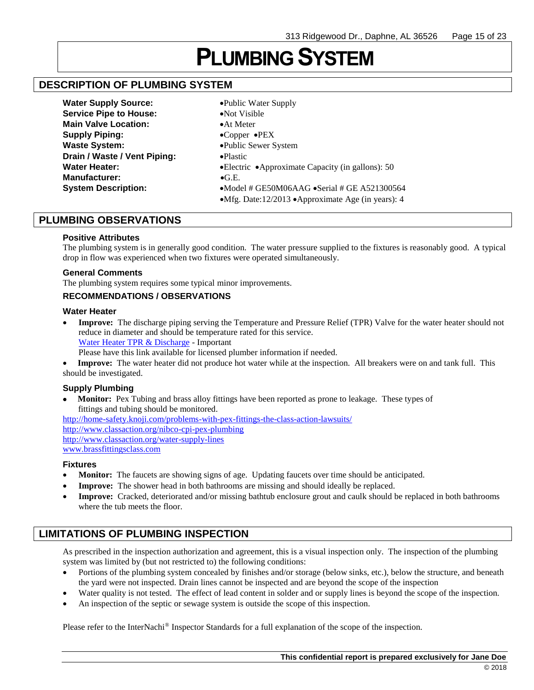## **PLUMBING SYSTEM**

## **DESCRIPTION OF PLUMBING SYSTEM**

**Water Supply Source:** •Public Water Supply **Service Pipe to House:** • • • • Not Visible **Main Valve Location:** • • • At Meter **Supply Piping:** •Copper •PEX Waste System: **•Public Sewer System Drain / Waste / Vent Piping:** •Plastic **Manufacturer:** •G.E.

**Water Heater:** •Electric •Approximate Capacity (in gallons): 50 **System Description:** •Model # GE50M06AAG •Serial # GE A521300564 •Mfg. Date:12/2013 •Approximate Age (in years): 4

## **PLUMBING OBSERVATIONS**

#### **Positive Attributes**

The plumbing system is in generally good condition. The water pressure supplied to the fixtures is reasonably good. A typical drop in flow was experienced when two fixtures were operated simultaneously.

#### **General Comments**

The plumbing system requires some typical minor improvements.

#### **RECOMMENDATIONS / OBSERVATIONS**

#### **Water Heater**

• **Improve:** The discharge piping serving the Temperature and Pressure Relief (TPR) Valve for the water heater should not reduce in diameter and should be temperature rated for this service. [Water Heater TPR & Discharge](https://www.nachi.org/tpr-valves-discharge-piping.htm) - Important

Please have this link available for licensed plumber information if needed.

• **Improve:** The water heater did not produce hot water while at the inspection. All breakers were on and tank full. This should be investigated.

#### **Supply Plumbing**

• **Monitor:** Pex Tubing and brass alloy fittings have been reported as prone to leakage. These types of fittings and tubing should be monitored.

<http://home-safety.knoji.com/problems-with-pex-fittings-the-class-action-lawsuits/> <http://www.classaction.org/nibco-cpi-pex-plumbing> <http://www.classaction.org/water-supply-lines> [www.brassfittingsclass.com](http://www.brassfittingsclass.com/)

#### **Fixtures**

- **Monitor:** The faucets are showing signs of age. Updating faucets over time should be anticipated.
- **Improve:** The shower head in both bathrooms are missing and should ideally be replaced.
- **Improve:** Cracked, deteriorated and/or missing bathtub enclosure grout and caulk should be replaced in both bathrooms where the tub meets the floor.

## **LIMITATIONS OF PLUMBING INSPECTION**

As prescribed in the inspection authorization and agreement, this is a visual inspection only. The inspection of the plumbing system was limited by (but not restricted to) the following conditions:

- Portions of the plumbing system concealed by finishes and/or storage (below sinks, etc.), below the structure, and beneath the yard were not inspected. Drain lines cannot be inspected and are beyond the scope of the inspection
- Water quality is not tested. The effect of lead content in solder and or supply lines is beyond the scope of the inspection.
- An inspection of the septic or sewage system is outside the scope of this inspection.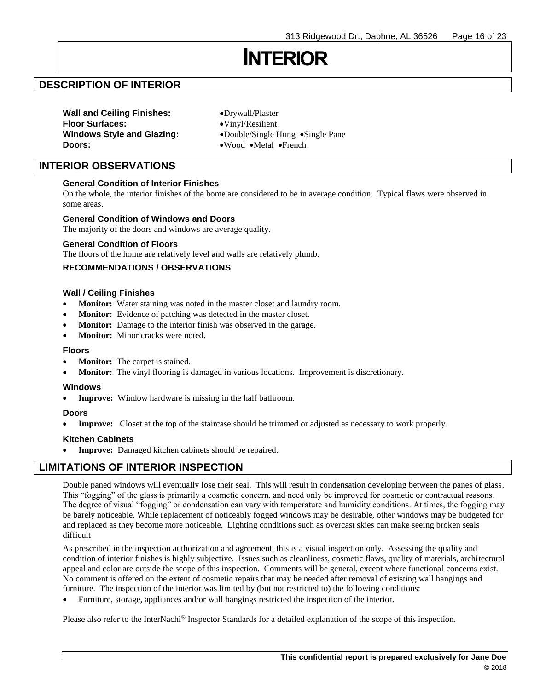## **INTERIOR**

## **DESCRIPTION OF INTERIOR**

**Wall and Ceiling Finishes:** •Drywall/Plaster **Floor Surfaces:** •Vinyl/Resilient **Doors:** •Wood •Metal •French

**Windows Style and Glazing:** •Double/Single Hung •Single Pane

### **INTERIOR OBSERVATIONS**

#### **General Condition of Interior Finishes**

On the whole, the interior finishes of the home are considered to be in average condition. Typical flaws were observed in some areas.

#### **General Condition of Windows and Doors**

The majority of the doors and windows are average quality.

#### **General Condition of Floors**

The floors of the home are relatively level and walls are relatively plumb.

#### **RECOMMENDATIONS / OBSERVATIONS**

#### **Wall / Ceiling Finishes**

- **Monitor:** Water staining was noted in the master closet and laundry room.
- **Monitor:** Evidence of patching was detected in the master closet.
- **Monitor:** Damage to the interior finish was observed in the garage.
- **Monitor:** Minor cracks were noted.

#### **Floors**

- **Monitor:** The carpet is stained.
- **Monitor:** The vinyl flooring is damaged in various locations. Improvement is discretionary.

#### **Windows**

**Improve:** Window hardware is missing in the half bathroom.

#### **Doors**

• **Improve:** Closet at the top of the staircase should be trimmed or adjusted as necessary to work properly.

#### **Kitchen Cabinets**

Improve: Damaged kitchen cabinets should be repaired.

#### **LIMITATIONS OF INTERIOR INSPECTION**

Double paned windows will eventually lose their seal. This will result in condensation developing between the panes of glass. This "fogging" of the glass is primarily a cosmetic concern, and need only be improved for cosmetic or contractual reasons. The degree of visual "fogging" or condensation can vary with temperature and humidity conditions. At times, the fogging may be barely noticeable. While replacement of noticeably fogged windows may be desirable, other windows may be budgeted for and replaced as they become more noticeable. Lighting conditions such as overcast skies can make seeing broken seals difficult

As prescribed in the inspection authorization and agreement, this is a visual inspection only. Assessing the quality and condition of interior finishes is highly subjective. Issues such as cleanliness, cosmetic flaws, quality of materials, architectural appeal and color are outside the scope of this inspection. Comments will be general, except where functional concerns exist. No comment is offered on the extent of cosmetic repairs that may be needed after removal of existing wall hangings and furniture. The inspection of the interior was limited by (but not restricted to) the following conditions:

• Furniture, storage, appliances and/or wall hangings restricted the inspection of the interior.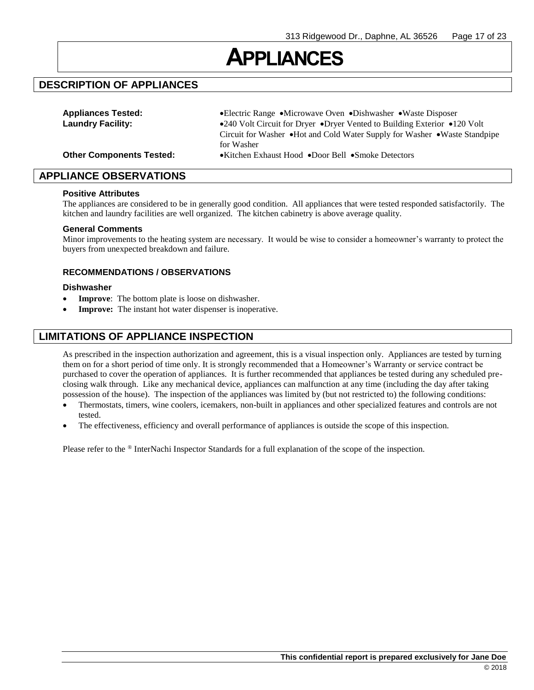## **APPLIANCES**

## **DESCRIPTION OF APPLIANCES**

| <b>Appliances Tested:</b>       | • Electric Range • Microwave Oven • Dishwasher • Waste Disposer           |  |
|---------------------------------|---------------------------------------------------------------------------|--|
| <b>Laundry Facility:</b>        | •240 Volt Circuit for Dryer •Dryer Vented to Building Exterior •120 Volt  |  |
|                                 | Circuit for Washer •Hot and Cold Water Supply for Washer •Waste Standpipe |  |
|                                 | for Washer                                                                |  |
| <b>Other Components Tested:</b> | • Kitchen Exhaust Hood • Door Bell • Smoke Detectors                      |  |

**APPLIANCE OBSERVATIONS**

#### **Positive Attributes**

The appliances are considered to be in generally good condition. All appliances that were tested responded satisfactorily. The kitchen and laundry facilities are well organized. The kitchen cabinetry is above average quality.

#### **General Comments**

Minor improvements to the heating system are necessary. It would be wise to consider a homeowner's warranty to protect the buyers from unexpected breakdown and failure.

#### **RECOMMENDATIONS / OBSERVATIONS**

#### **Dishwasher**

- **Improve**: The bottom plate is loose on dishwasher.
- Improve: The instant hot water dispenser is inoperative.

## **LIMITATIONS OF APPLIANCE INSPECTION**

As prescribed in the inspection authorization and agreement, this is a visual inspection only. Appliances are tested by turning them on for a short period of time only. It is strongly recommended that a Homeowner's Warranty or service contract be purchased to cover the operation of appliances. It is further recommended that appliances be tested during any scheduled preclosing walk through. Like any mechanical device, appliances can malfunction at any time (including the day after taking possession of the house). The inspection of the appliances was limited by (but not restricted to) the following conditions:

- Thermostats, timers, wine coolers, icemakers, non-built in appliances and other specialized features and controls are not tested.
- The effectiveness, efficiency and overall performance of appliances is outside the scope of this inspection.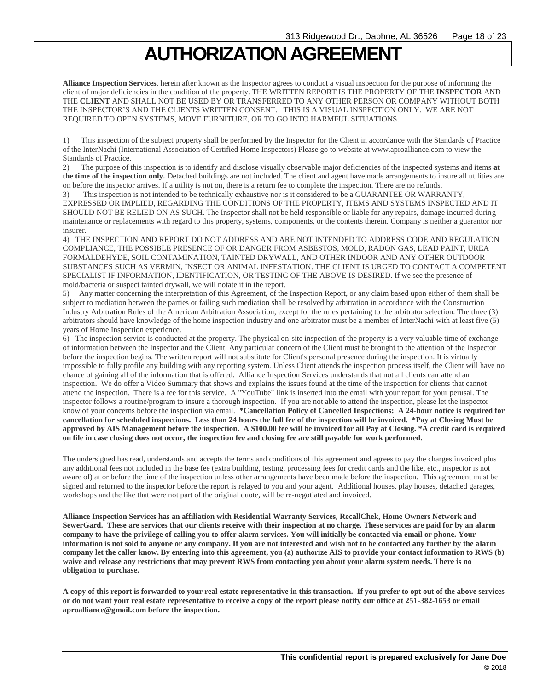## **AUTHORIZATION AGREEMENT**

**Alliance Inspection Services**, herein after known as the Inspector agrees to conduct a visual inspection for the purpose of informing the client of major deficiencies in the condition of the property. THE WRITTEN REPORT IS THE PROPERTY OF THE **INSPECTOR** AND THE **CLIENT** AND SHALL NOT BE USED BY OR TRANSFERRED TO ANY OTHER PERSON OR COMPANY WITHOUT BOTH THE INSPECTOR'S AND THE CLIENTS WRITTEN CONSENT. THIS IS A VISUAL INSPECTION ONLY. WE ARE NOT REQUIRED TO OPEN SYSTEMS, MOVE FURNITURE, OR TO GO INTO HARMFUL SITUATIONS.

1) This inspection of the subject property shall be performed by the Inspector for the Client in accordance with the Standards of Practice of the InterNachi (International Association of Certified Home Inspectors) Please go to website at www.aproalliance.com to view the Standards of Practice.

2) The purpose of this inspection is to identify and disclose visually observable major deficiencies of the inspected systems and items **at the time of the inspection only.** Detached buildings are not included. The client and agent have made arrangements to insure all utilities are on before the inspector arrives. If a utility is not on, there is a return fee to complete the inspection. There are no refunds.

3) This inspection is not intended to be technically exhaustive nor is it considered to be a GUARANTEE OR WARRANTY, EXPRESSED OR IMPLIED, REGARDING THE CONDITIONS OF THE PROPERTY, ITEMS AND SYSTEMS INSPECTED AND IT SHOULD NOT BE RELIED ON AS SUCH. The Inspector shall not be held responsible or liable for any repairs, damage incurred during maintenance or replacements with regard to this property, systems, components, or the contents therein. Company is neither a guarantor nor insurer.

4) THE INSPECTION AND REPORT DO NOT ADDRESS AND ARE NOT INTENDED TO ADDRESS CODE AND REGULATION COMPLIANCE, THE POSSIBLE PRESENCE OF OR DANGER FROM ASBESTOS, MOLD, RADON GAS, LEAD PAINT, UREA FORMALDEHYDE, SOIL CONTAMINATION, TAINTED DRYWALL, AND OTHER INDOOR AND ANY OTHER OUTDOOR SUBSTANCES SUCH AS VERMIN, INSECT OR ANIMAL INFESTATION. THE CLIENT IS URGED TO CONTACT A COMPETENT SPECIALIST IF INFORMATION, IDENTIFICATION, OR TESTING OF THE ABOVE IS DESIRED. If we see the presence of mold/bacteria or suspect tainted drywall, we will notate it in the report.

5) Any matter concerning the interpretation of this Agreement, of the Inspection Report, or any claim based upon either of them shall be subject to mediation between the parties or failing such mediation shall be resolved by arbitration in accordance with the Construction Industry Arbitration Rules of the American Arbitration Association, except for the rules pertaining to the arbitrator selection. The three (3) arbitrators should have knowledge of the home inspection industry and one arbitrator must be a member of InterNachi with at least five (5) years of Home Inspection experience.

6) The inspection service is conducted at the property. The physical on-site inspection of the property is a very valuable time of exchange of information between the Inspector and the Client. Any particular concern of the Client must be brought to the attention of the Inspector before the inspection begins. The written report will not substitute for Client's personal presence during the inspection. It is virtually impossible to fully profile any building with any reporting system. Unless Client attends the inspection process itself, the Client will have no chance of gaining all of the information that is offered. Alliance Inspection Services understands that not all clients can attend an inspection. We do offer a Video Summary that shows and explains the issues found at the time of the inspection for clients that cannot attend the inspection. There is a fee for this service. A "YouTube" link is inserted into the email with your report for your perusal. The inspector follows a routine/program to insure a thorough inspection. If you are not able to attend the inspection, please let the inspector know of your concerns before the inspection via email. **\*Cancellation Policy of Cancelled Inspections: A 24-hour notice is required for cancellation for scheduled inspections. Less than 24 hours the full fee of the inspection will be invoiced. \*Pay at Closing Must be approved by AIS Management before the inspection. A \$100.00 fee will be invoiced for all Pay at Closing. \*A credit card is required on file in case closing does not occur, the inspection fee and closing fee are still payable for work performed.**

The undersigned has read, understands and accepts the terms and conditions of this agreement and agrees to pay the charges invoiced plus any additional fees not included in the base fee (extra building, testing, processing fees for credit cards and the like, etc., inspector is not aware of) at or before the time of the inspection unless other arrangements have been made before the inspection. This agreement must be signed and returned to the inspector before the report is relayed to you and your agent. Additional houses, play houses, detached garages, workshops and the like that were not part of the original quote, will be re-negotiated and invoiced.

**Alliance Inspection Services has an affiliation with Residential Warranty Services, RecallChek, Home Owners Network and SewerGard. These are services that our clients receive with their inspection at no charge. These services are paid for by an alarm company to have the privilege of calling you to offer alarm services. You will initially be contacted via email or phone. Your information is not sold to anyone or any company. If you are not interested and wish not to be contacted any further by the alarm company let the caller know. By entering into this agreement, you (a) authorize AIS to provide your contact information to RWS (b) waive and release any restrictions that may prevent RWS from contacting you about your alarm system needs. There is no obligation to purchase.**

**A copy of this report is forwarded to your real estate representative in this transaction. If you prefer to opt out of the above services or do not want your real estate representative to receive a copy of the report please notify our office at 251-382-1653 or email aproalliance@gmail.com before the inspection.**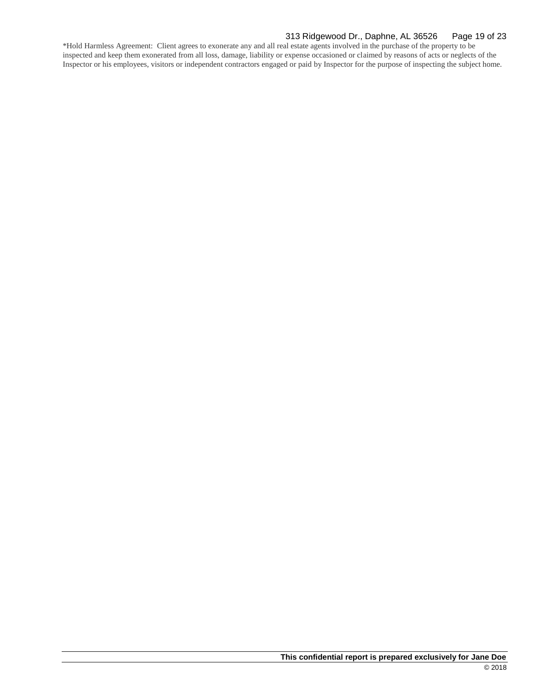#### 313 Ridgewood Dr., Daphne, AL 36526 Page 19 of 23

\*Hold Harmless Agreement: Client agrees to exonerate any and all real estate agents involved in the purchase of the property to be inspected and keep them exonerated from all loss, damage, liability or expense occasioned or claimed by reasons of acts or neglects of the Inspector or his employees, visitors or independent contractors engaged or paid by Inspector for the purpose of inspecting the subject home.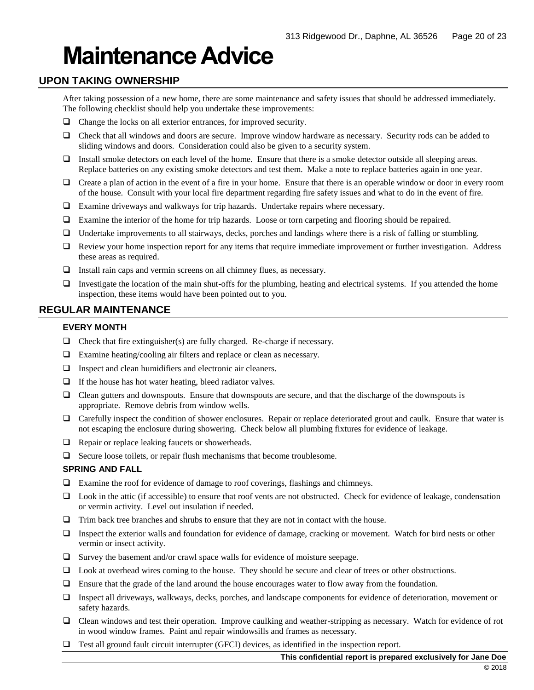# **Maintenance Advice**

## **UPON TAKING OWNERSHIP**

After taking possession of a new home, there are some maintenance and safety issues that should be addressed immediately. The following checklist should help you undertake these improvements:

- ❑ Change the locks on all exterior entrances, for improved security.
- ❑ Check that all windows and doors are secure. Improve window hardware as necessary. Security rods can be added to sliding windows and doors. Consideration could also be given to a security system.
- ❑ Install smoke detectors on each level of the home. Ensure that there is a smoke detector outside all sleeping areas. Replace batteries on any existing smoke detectors and test them. Make a note to replace batteries again in one year.
- ❑ Create a plan of action in the event of a fire in your home. Ensure that there is an operable window or door in every room of the house. Consult with your local fire department regarding fire safety issues and what to do in the event of fire.
- ❑ Examine driveways and walkways for trip hazards. Undertake repairs where necessary.
- ❑ Examine the interior of the home for trip hazards. Loose or torn carpeting and flooring should be repaired.
- ❑ Undertake improvements to all stairways, decks, porches and landings where there is a risk of falling or stumbling.
- ❑ Review your home inspection report for any items that require immediate improvement or further investigation. Address these areas as required.
- ❑ Install rain caps and vermin screens on all chimney flues, as necessary.
- ❑ Investigate the location of the main shut-offs for the plumbing, heating and electrical systems. If you attended the home inspection, these items would have been pointed out to you.

## **REGULAR MAINTENANCE**

#### **EVERY MONTH**

- $\Box$  Check that fire extinguisher(s) are fully charged. Re-charge if necessary.
- ❑ Examine heating/cooling air filters and replace or clean as necessary.
- ❑ Inspect and clean humidifiers and electronic air cleaners.
- ❑ If the house has hot water heating, bleed radiator valves.
- ❑ Clean gutters and downspouts. Ensure that downspouts are secure, and that the discharge of the downspouts is appropriate. Remove debris from window wells.
- ❑ Carefully inspect the condition of shower enclosures. Repair or replace deteriorated grout and caulk. Ensure that water is not escaping the enclosure during showering. Check below all plumbing fixtures for evidence of leakage.
- ❑ Repair or replace leaking faucets or showerheads.
- ❑ Secure loose toilets, or repair flush mechanisms that become troublesome.

#### **SPRING AND FALL**

- ❑ Examine the roof for evidence of damage to roof coverings, flashings and chimneys.
- ❑ Look in the attic (if accessible) to ensure that roof vents are not obstructed. Check for evidence of leakage, condensation or vermin activity. Level out insulation if needed.
- ❑ Trim back tree branches and shrubs to ensure that they are not in contact with the house.
- ❑ Inspect the exterior walls and foundation for evidence of damage, cracking or movement. Watch for bird nests or other vermin or insect activity.
- ❑ Survey the basement and/or crawl space walls for evidence of moisture seepage.
- ❑ Look at overhead wires coming to the house. They should be secure and clear of trees or other obstructions.
- ❑ Ensure that the grade of the land around the house encourages water to flow away from the foundation.
- ❑ Inspect all driveways, walkways, decks, porches, and landscape components for evidence of deterioration, movement or safety hazards.
- ❑ Clean windows and test their operation. Improve caulking and weather-stripping as necessary. Watch for evidence of rot in wood window frames. Paint and repair windowsills and frames as necessary.
- ❑ Test all ground fault circuit interrupter (GFCI) devices, as identified in the inspection report.

#### **This confidential report is prepared exclusively for Jane Doe**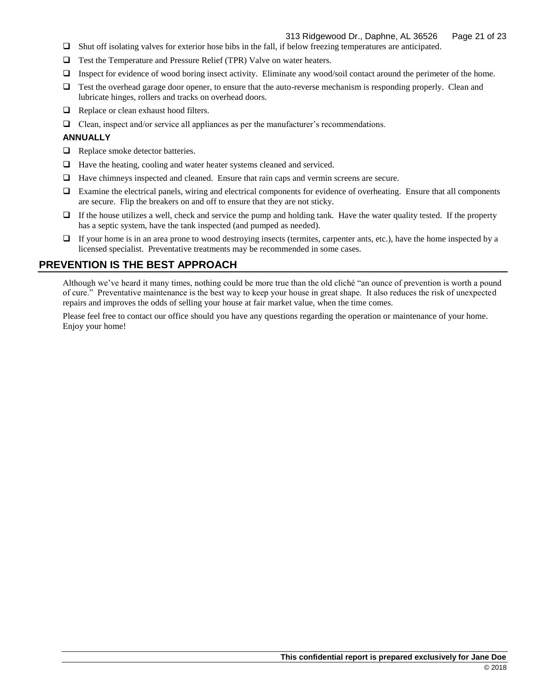- ❑ Shut off isolating valves for exterior hose bibs in the fall, if below freezing temperatures are anticipated.
- ❑ Test the Temperature and Pressure Relief (TPR) Valve on water heaters.
- ❑ Inspect for evidence of wood boring insect activity. Eliminate any wood/soil contact around the perimeter of the home.
- ❑ Test the overhead garage door opener, to ensure that the auto-reverse mechanism is responding properly. Clean and lubricate hinges, rollers and tracks on overhead doors.
- ❑ Replace or clean exhaust hood filters.
- ❑ Clean, inspect and/or service all appliances as per the manufacturer's recommendations.

#### **ANNUALLY**

- ❑ Replace smoke detector batteries.
- ❑ Have the heating, cooling and water heater systems cleaned and serviced.
- ❑ Have chimneys inspected and cleaned. Ensure that rain caps and vermin screens are secure.
- ❑ Examine the electrical panels, wiring and electrical components for evidence of overheating. Ensure that all components are secure. Flip the breakers on and off to ensure that they are not sticky.
- ❑ If the house utilizes a well, check and service the pump and holding tank. Have the water quality tested. If the property has a septic system, have the tank inspected (and pumped as needed).
- ❑ If your home is in an area prone to wood destroying insects (termites, carpenter ants, etc.), have the home inspected by a licensed specialist. Preventative treatments may be recommended in some cases.

## **PREVENTION IS THE BEST APPROACH**

Although we've heard it many times, nothing could be more true than the old cliché "an ounce of prevention is worth a pound of cure." Preventative maintenance is the best way to keep your house in great shape. It also reduces the risk of unexpected repairs and improves the odds of selling your house at fair market value, when the time comes.

Please feel free to contact our office should you have any questions regarding the operation or maintenance of your home. Enjoy your home!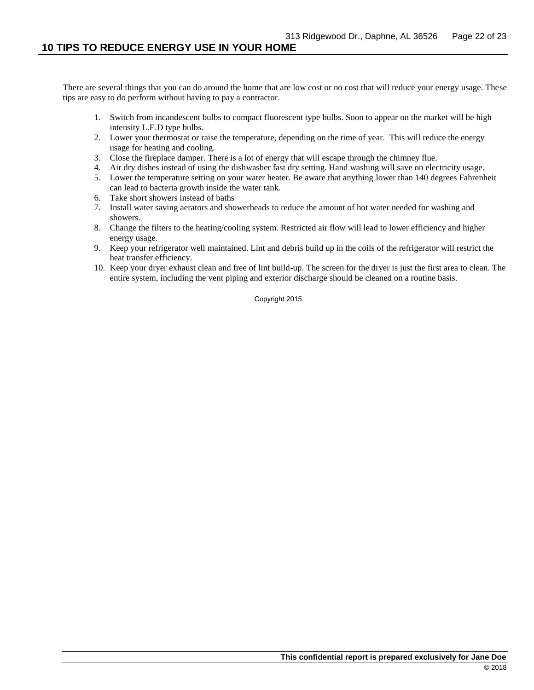There are several things that you can do around the home that are low cost or no cost that will reduce your energy usage. These tips are easy to do perform without having to pay a contractor.

- 1. Switch from incandescent bulbs to compact fluorescent type bulbs. Soon to appear on the market will be high intensity L.E.D type bulbs.
- 2. Lower your thermostat or raise the temperature, depending on the time of year. This will reduce the energy usage for heating and cooling.
- 3. Close the fireplace damper. There is a lot of energy that will escape through the chimney flue.
- 4. Air dry dishes instead of using the dishwasher fast dry setting. Hand washing will save on electricity usage.
- 5. Lower the temperature setting on your water heater. Be aware that anything lower than 140 degrees Fahrenheit can lead to bacteria growth inside the water tank.
- 6. Take short showers instead of baths
- 7. Install water saving aerators and showerheads to reduce the amount of hot water needed for washing and showers.
- 8. Change the filters to the heating/cooling system. Restricted air flow will lead to lower efficiency and higher energy usage.
- 9. Keep your refrigerator well maintained. Lint and debris build up in the coils of the refrigerator will restrict the heat transfer efficiency.
- 10. Keep your dryer exhaust clean and free of lint build-up. The screen for the dryer is just the first area to clean. The entire system, including the vent piping and exterior discharge should be cleaned on a routine basis.

Copyright 2015